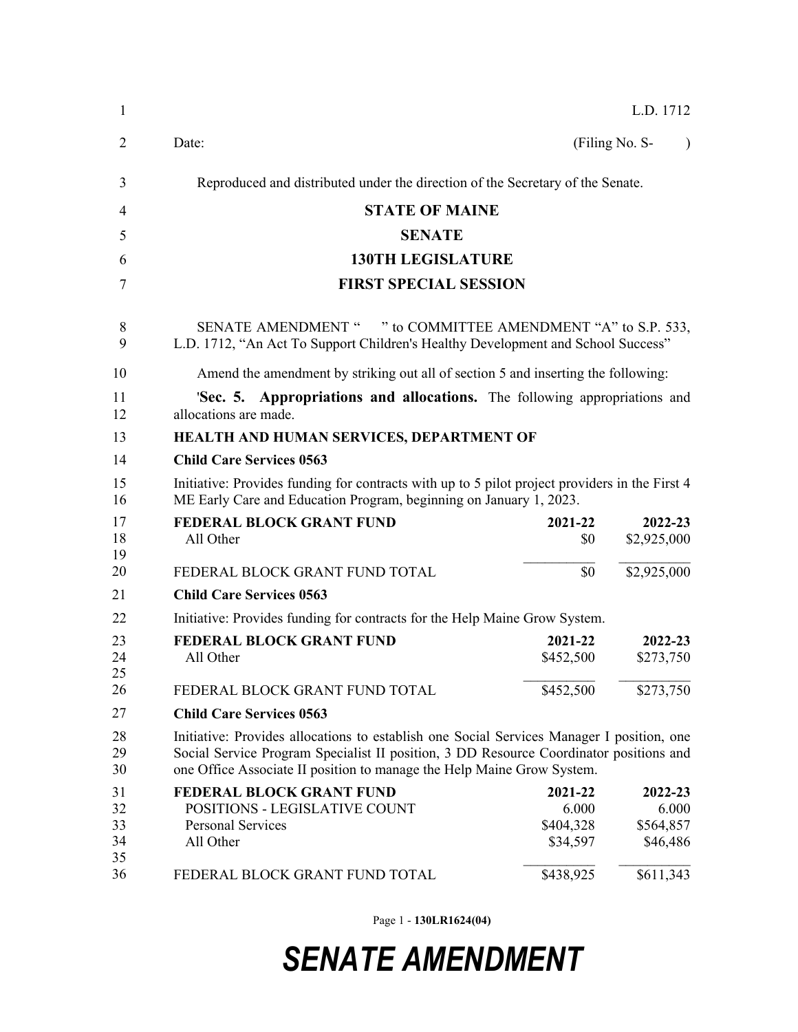| 1                                | L.D. 1712                                                                                                                                                                                                                                                     |                                                                    |                                                        |  |  |
|----------------------------------|---------------------------------------------------------------------------------------------------------------------------------------------------------------------------------------------------------------------------------------------------------------|--------------------------------------------------------------------|--------------------------------------------------------|--|--|
| $\overline{2}$                   | Date:                                                                                                                                                                                                                                                         |                                                                    | (Filing No. S-<br>$\lambda$                            |  |  |
| 3                                | Reproduced and distributed under the direction of the Secretary of the Senate.                                                                                                                                                                                |                                                                    |                                                        |  |  |
| 4                                | <b>STATE OF MAINE</b>                                                                                                                                                                                                                                         |                                                                    |                                                        |  |  |
| 5                                | <b>SENATE</b>                                                                                                                                                                                                                                                 |                                                                    |                                                        |  |  |
| 6                                | <b>130TH LEGISLATURE</b>                                                                                                                                                                                                                                      |                                                                    |                                                        |  |  |
| 7                                | <b>FIRST SPECIAL SESSION</b>                                                                                                                                                                                                                                  |                                                                    |                                                        |  |  |
| 8<br>9                           | SENATE AMENDMENT " " to COMMITTEE AMENDMENT "A" to S.P. 533,<br>L.D. 1712, "An Act To Support Children's Healthy Development and School Success"                                                                                                              |                                                                    |                                                        |  |  |
| 10                               | Amend the amendment by striking out all of section 5 and inserting the following:                                                                                                                                                                             |                                                                    |                                                        |  |  |
| 11<br>12                         | <b>Sec. 5. Appropriations and allocations.</b> The following appropriations and<br>allocations are made.                                                                                                                                                      |                                                                    |                                                        |  |  |
| 13                               | HEALTH AND HUMAN SERVICES, DEPARTMENT OF                                                                                                                                                                                                                      |                                                                    |                                                        |  |  |
| 14                               | <b>Child Care Services 0563</b>                                                                                                                                                                                                                               |                                                                    |                                                        |  |  |
| 15<br>16                         | Initiative: Provides funding for contracts with up to 5 pilot project providers in the First 4<br>ME Early Care and Education Program, beginning on January 1, 2023.                                                                                          |                                                                    |                                                        |  |  |
| 17<br>18<br>19                   | <b>FEDERAL BLOCK GRANT FUND</b><br>All Other                                                                                                                                                                                                                  | 2021-22<br>\$0                                                     | 2022-23<br>\$2,925,000                                 |  |  |
| 20                               | FEDERAL BLOCK GRANT FUND TOTAL                                                                                                                                                                                                                                | \$0                                                                | \$2,925,000                                            |  |  |
| 21                               | <b>Child Care Services 0563</b>                                                                                                                                                                                                                               |                                                                    |                                                        |  |  |
| 22                               | Initiative: Provides funding for contracts for the Help Maine Grow System.                                                                                                                                                                                    |                                                                    |                                                        |  |  |
| 23<br>24<br>25                   | <b>FEDERAL BLOCK GRANT FUND</b><br>All Other                                                                                                                                                                                                                  | 2021-22<br>\$452,500                                               | 2022-23<br>\$273,750                                   |  |  |
| 26                               | FEDERAL BLOCK GRANT FUND TOTAL                                                                                                                                                                                                                                | \$452,500                                                          | \$273,750                                              |  |  |
| 27                               | <b>Child Care Services 0563</b>                                                                                                                                                                                                                               |                                                                    |                                                        |  |  |
| 28<br>29<br>30                   | Initiative: Provides allocations to establish one Social Services Manager I position, one<br>Social Service Program Specialist II position, 3 DD Resource Coordinator positions and<br>one Office Associate II position to manage the Help Maine Grow System. |                                                                    |                                                        |  |  |
| 31<br>32<br>33<br>34<br>35<br>36 | FEDERAL BLOCK GRANT FUND<br>POSITIONS - LEGISLATIVE COUNT<br><b>Personal Services</b><br>All Other<br>FEDERAL BLOCK GRANT FUND TOTAL                                                                                                                          | 2021-22<br>6.000<br>\$404,328<br>\$34,597<br>$\overline{$}438,925$ | 2022-23<br>6.000<br>\$564,857<br>\$46,486<br>\$611,343 |  |  |
|                                  |                                                                                                                                                                                                                                                               |                                                                    |                                                        |  |  |

Page 1 - **130LR1624(04)**

## *SENATE AMENDMENT*